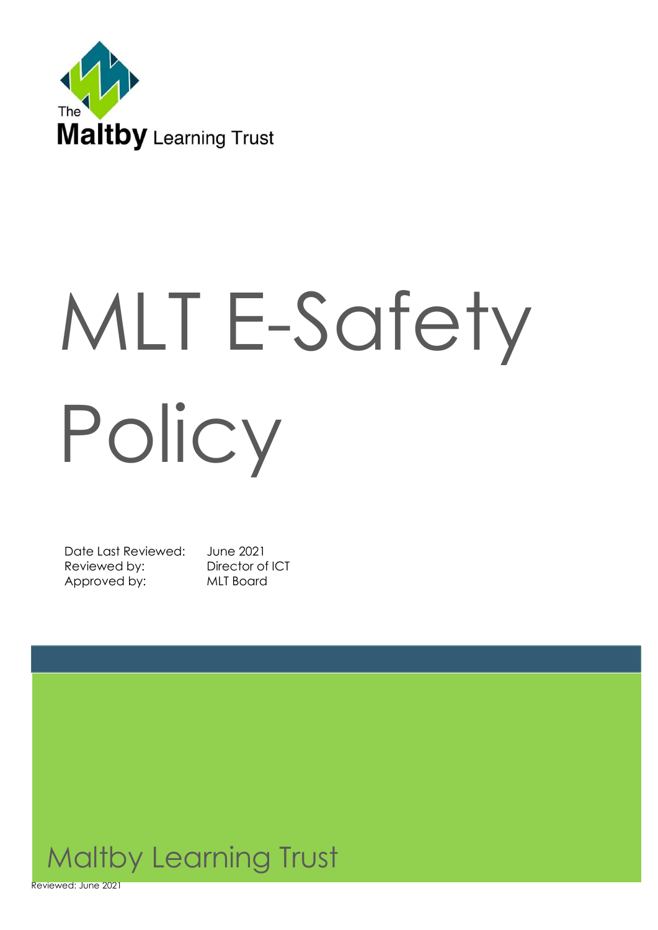

# MLT E-Safety Policy

Date Last Reviewed: June 2021 Reviewed by: Director of ICT Approved by: MLT Board



Reviewed: June 2021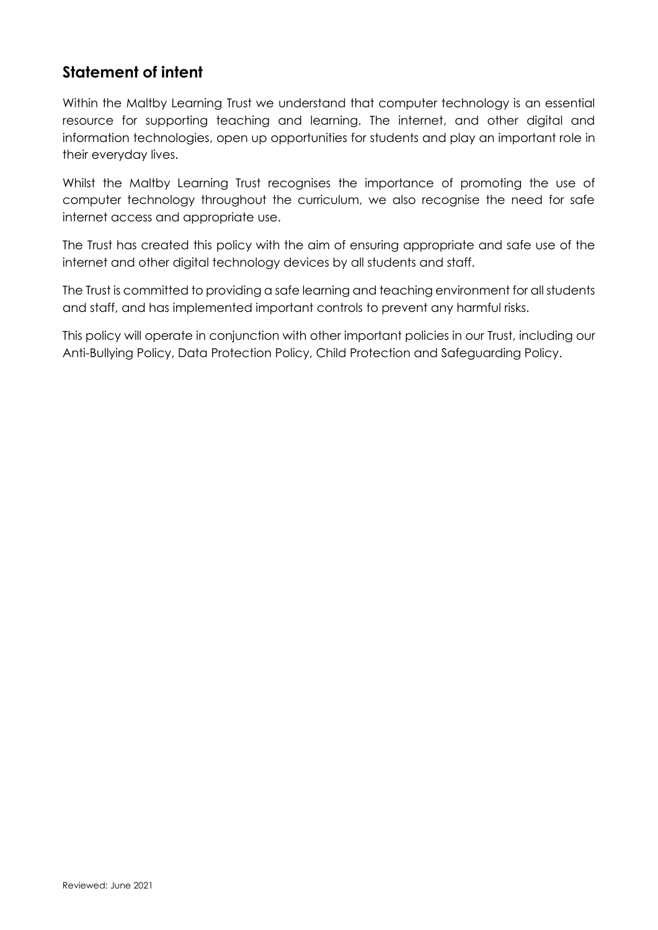# **Statement of intent**

Within the Maltby Learning Trust we understand that computer technology is an essential resource for supporting teaching and learning. The internet, and other digital and information technologies, open up opportunities for students and play an important role in their everyday lives.

Whilst the Maltby Learning Trust recognises the importance of promoting the use of computer technology throughout the curriculum, we also recognise the need for safe internet access and appropriate use.

The Trust has created this policy with the aim of ensuring appropriate and safe use of the internet and other digital technology devices by all students and staff.

The Trust is committed to providing a safe learning and teaching environment for all students and staff, and has implemented important controls to prevent any harmful risks.

This policy will operate in conjunction with other important policies in our Trust, including our Anti-Bullying Policy, Data Protection Policy, Child Protection and Safeguarding Policy.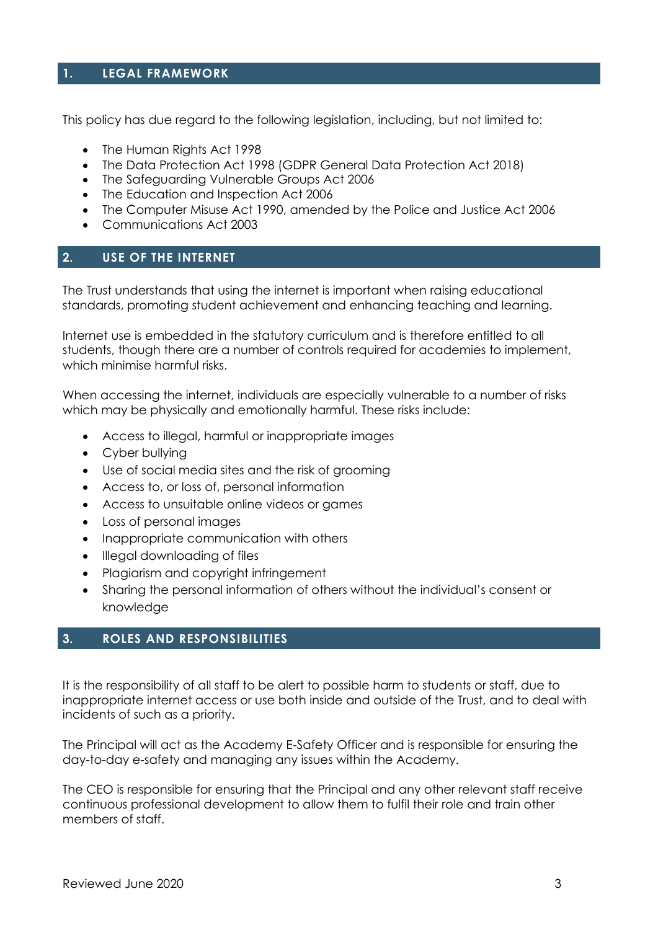#### **1. LEGAL FRAMEWORK**

This policy has due regard to the following legislation, including, but not limited to:

- The Human Rights Act 1998
- The Data Protection Act 1998 (GDPR General Data Protection Act 2018)
- The Safeguarding Vulnerable Groups Act 2006
- The Education and Inspection Act 2006
- The Computer Misuse Act 1990, amended by the Police and Justice Act 2006
- Communications Act 2003

#### **2. USE OF THE INTERNET**

The Trust understands that using the internet is important when raising educational standards, promoting student achievement and enhancing teaching and learning.

Internet use is embedded in the statutory curriculum and is therefore entitled to all students, though there are a number of controls required for academies to implement, which minimise harmful risks.

When accessing the internet, individuals are especially vulnerable to a number of risks which may be physically and emotionally harmful. These risks include:

- Access to illegal, harmful or inappropriate images
- Cyber bullying
- Use of social media sites and the risk of grooming
- Access to, or loss of, personal information
- Access to unsuitable online videos or games
- Loss of personal images
- Inappropriate communication with others
- Illegal downloading of files
- Plagiarism and copyright infringement
- Sharing the personal information of others without the individual's consent or knowledge

#### **3. ROLES AND RESPONSIBILITIES**

It is the responsibility of all staff to be alert to possible harm to students or staff, due to inappropriate internet access or use both inside and outside of the Trust, and to deal with incidents of such as a priority.

The Principal will act as the Academy E-Safety Officer and is responsible for ensuring the day-to-day e-safety and managing any issues within the Academy.

The CEO is responsible for ensuring that the Principal and any other relevant staff receive continuous professional development to allow them to fulfil their role and train other members of staff.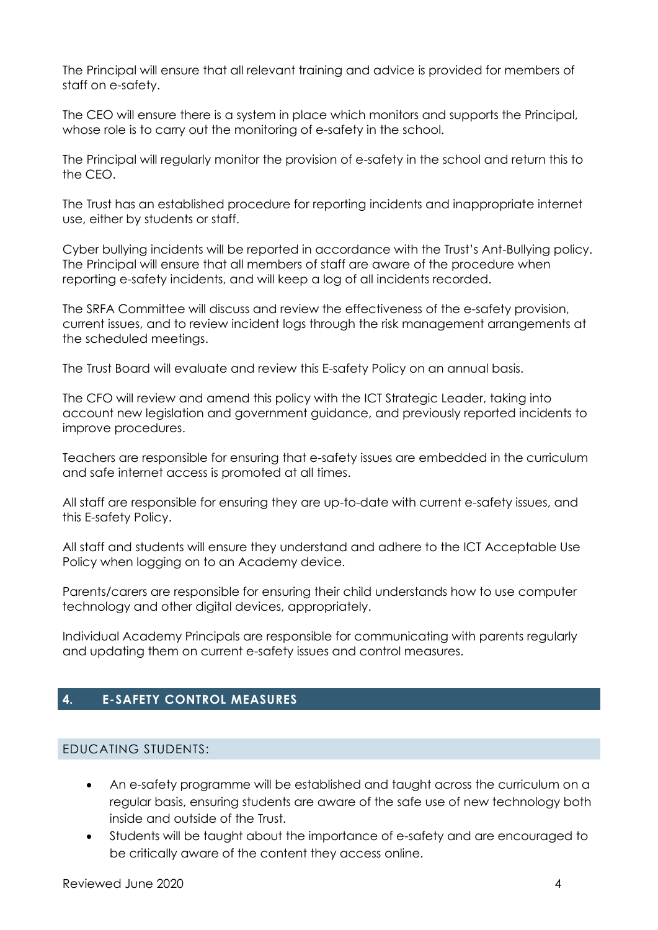The Principal will ensure that all relevant training and advice is provided for members of staff on e-safety.

The CEO will ensure there is a system in place which monitors and supports the Principal, whose role is to carry out the monitoring of e-safety in the school.

The Principal will regularly monitor the provision of e-safety in the school and return this to the CEO.

The Trust has an established procedure for reporting incidents and inappropriate internet use, either by students or staff.

Cyber bullying incidents will be reported in accordance with the Trust's Ant-Bullying policy. The Principal will ensure that all members of staff are aware of the procedure when reporting e-safety incidents, and will keep a log of all incidents recorded.

The SRFA Committee will discuss and review the effectiveness of the e-safety provision, current issues, and to review incident logs through the risk management arrangements at the scheduled meetings.

The Trust Board will evaluate and review this E-safety Policy on an annual basis.

The CFO will review and amend this policy with the ICT Strategic Leader, taking into account new legislation and government guidance, and previously reported incidents to improve procedures.

Teachers are responsible for ensuring that e-safety issues are embedded in the curriculum and safe internet access is promoted at all times.

All staff are responsible for ensuring they are up-to-date with current e-safety issues, and this E-safety Policy.

All staff and students will ensure they understand and adhere to the ICT Acceptable Use Policy when logging on to an Academy device.

Parents/carers are responsible for ensuring their child understands how to use computer technology and other digital devices, appropriately.

Individual Academy Principals are responsible for communicating with parents regularly and updating them on current e-safety issues and control measures.

#### **4. E-SAFETY CONTROL MEASURES**

#### EDUCATING STUDENTS:

- An e-safety programme will be established and taught across the curriculum on a regular basis, ensuring students are aware of the safe use of new technology both inside and outside of the Trust.
- Students will be taught about the importance of e-safety and are encouraged to be critically aware of the content they access online.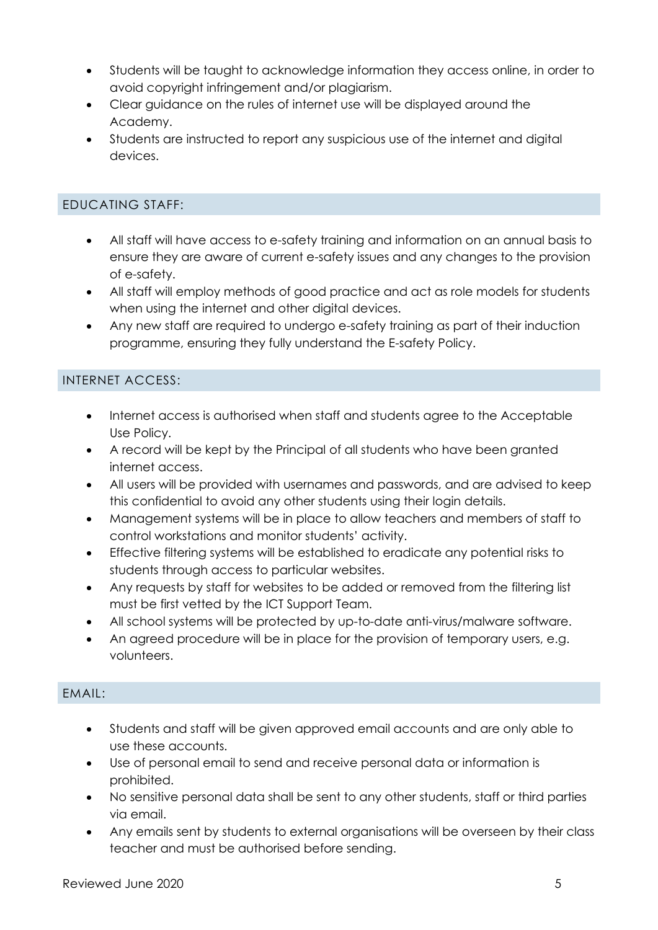- Students will be taught to acknowledge information they access online, in order to avoid copyright infringement and/or plagiarism.
- Clear guidance on the rules of internet use will be displayed around the Academy.
- Students are instructed to report any suspicious use of the internet and digital devices.

# EDUCATING STAFF:

- All staff will have access to e-safety training and information on an annual basis to ensure they are aware of current e-safety issues and any changes to the provision of e-safety.
- All staff will employ methods of good practice and act as role models for students when using the internet and other digital devices.
- Any new staff are required to undergo e-safety training as part of their induction programme, ensuring they fully understand the E-safety Policy.

# INTERNET ACCESS:

- Internet access is authorised when staff and students agree to the Acceptable Use Policy.
- A record will be kept by the Principal of all students who have been granted internet access.
- All users will be provided with usernames and passwords, and are advised to keep this confidential to avoid any other students using their login details.
- Management systems will be in place to allow teachers and members of staff to control workstations and monitor students' activity.
- Effective filtering systems will be established to eradicate any potential risks to students through access to particular websites.
- Any requests by staff for websites to be added or removed from the filtering list must be first vetted by the ICT Support Team.
- All school systems will be protected by up-to-date anti-virus/malware software.
- An agreed procedure will be in place for the provision of temporary users, e.g. volunteers.

#### EMAIL:

- Students and staff will be given approved email accounts and are only able to use these accounts.
- Use of personal email to send and receive personal data or information is prohibited.
- No sensitive personal data shall be sent to any other students, staff or third parties via email.
- Any emails sent by students to external organisations will be overseen by their class teacher and must be authorised before sending.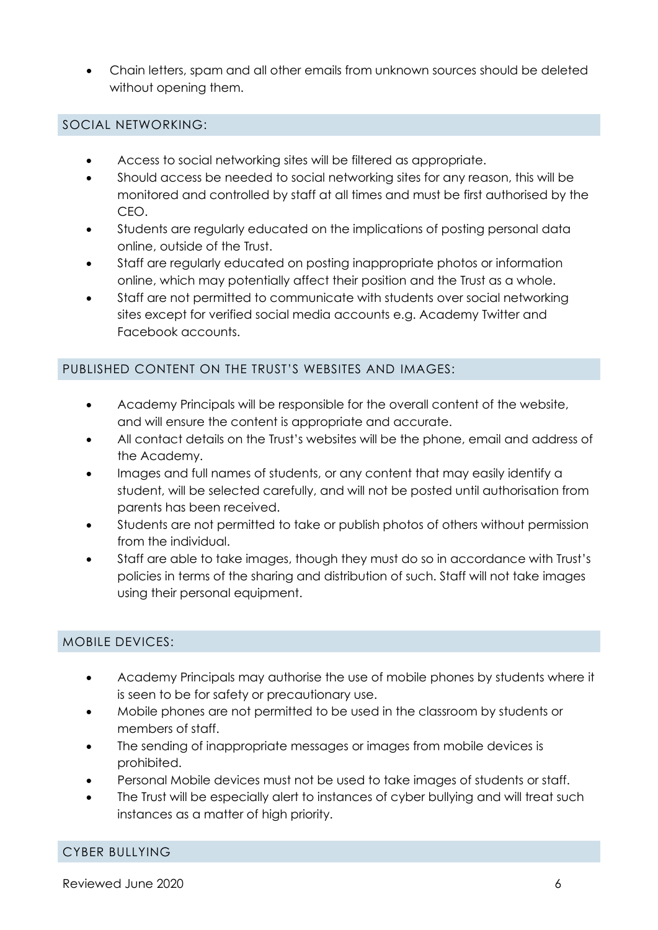• Chain letters, spam and all other emails from unknown sources should be deleted without opening them.

#### SOCIAL NETWORKING:

- Access to social networking sites will be filtered as appropriate.
- Should access be needed to social networking sites for any reason, this will be monitored and controlled by staff at all times and must be first authorised by the CEO.
- Students are regularly educated on the implications of posting personal data online, outside of the Trust.
- Staff are regularly educated on posting inappropriate photos or information online, which may potentially affect their position and the Trust as a whole.
- Staff are not permitted to communicate with students over social networking sites except for verified social media accounts e.g. Academy Twitter and Facebook accounts.

### PUBLISHED CONTENT ON THE TRUST'S WEBSITES AND IMAGES:

- Academy Principals will be responsible for the overall content of the website, and will ensure the content is appropriate and accurate.
- All contact details on the Trust's websites will be the phone, email and address of the Academy.
- Images and full names of students, or any content that may easily identify a student, will be selected carefully, and will not be posted until authorisation from parents has been received.
- Students are not permitted to take or publish photos of others without permission from the individual.
- Staff are able to take images, though they must do so in accordance with Trust's policies in terms of the sharing and distribution of such. Staff will not take images using their personal equipment.

# MOBILE DEVICES:

- Academy Principals may authorise the use of mobile phones by students where it is seen to be for safety or precautionary use.
- Mobile phones are not permitted to be used in the classroom by students or members of staff.
- The sending of inappropriate messages or images from mobile devices is prohibited.
- Personal Mobile devices must not be used to take images of students or staff.
- The Trust will be especially alert to instances of cyber bullying and will treat such instances as a matter of high priority.

# CYBER BULLYING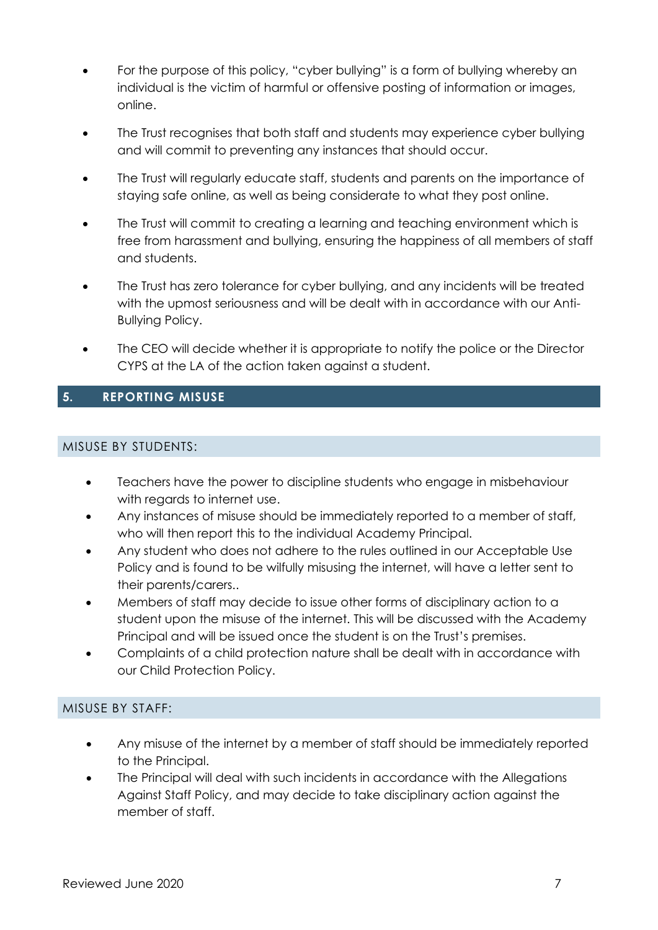- For the purpose of this policy, "cyber bullying" is a form of bullying whereby an individual is the victim of harmful or offensive posting of information or images, online.
- The Trust recognises that both staff and students may experience cyber bullying and will commit to preventing any instances that should occur.
- The Trust will regularly educate staff, students and parents on the importance of staying safe online, as well as being considerate to what they post online.
- The Trust will commit to creating a learning and teaching environment which is free from harassment and bullying, ensuring the happiness of all members of staff and students.
- The Trust has zero tolerance for cyber bullying, and any incidents will be treated with the upmost seriousness and will be dealt with in accordance with our Anti-Bullying Policy.
- The CEO will decide whether it is appropriate to notify the police or the Director CYPS at the LA of the action taken against a student.

# **5. REPORTING MISUSE**

# MISUSE BY STUDENTS:

- Teachers have the power to discipline students who engage in misbehaviour with regards to internet use.
- Any instances of misuse should be immediately reported to a member of staff, who will then report this to the individual Academy Principal.
- Any student who does not adhere to the rules outlined in our Acceptable Use Policy and is found to be wilfully misusing the internet, will have a letter sent to their parents/carers..
- Members of staff may decide to issue other forms of disciplinary action to a student upon the misuse of the internet. This will be discussed with the Academy Principal and will be issued once the student is on the Trust's premises.
- Complaints of a child protection nature shall be dealt with in accordance with our Child Protection Policy.

#### MISUSE BY STAFF:

- Any misuse of the internet by a member of staff should be immediately reported to the Principal.
- The Principal will deal with such incidents in accordance with the Allegations Against Staff Policy, and may decide to take disciplinary action against the member of staff.